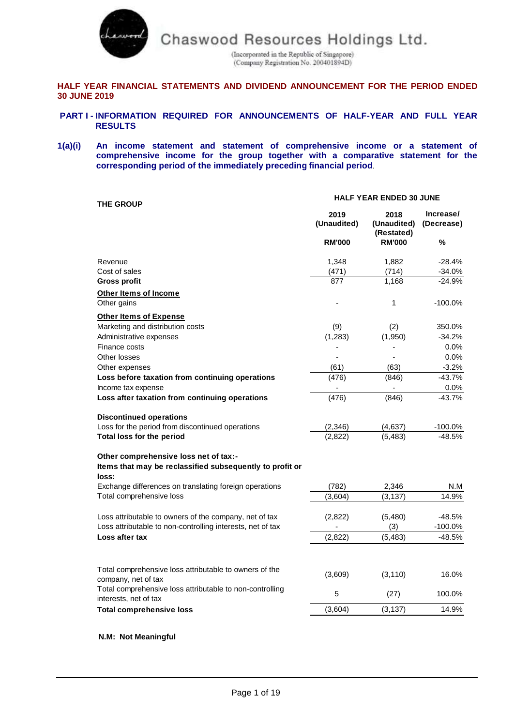

(Incorporated in the Republic of Singapore)<br>(Company Registration No. 200401894D)

# **HALF YEAR FINANCIAL STATEMENTS AND DIVIDEND ANNOUNCEMENT FOR THE PERIOD ENDED 30 JUNE 2019**

- **PART I - INFORMATION REQUIRED FOR ANNOUNCEMENTS OF HALF-YEAR AND FULL YEAR RESULTS**
- **1(a)(i) An income statement and statement of comprehensive income or a statement of comprehensive income for the group together with a comparative statement for the corresponding period of the immediately preceding financial period**.

| <b>THE GROUP</b>                                                                  | <b>HALF YEAR ENDED 30 JUNE</b> |                                   |                         |  |
|-----------------------------------------------------------------------------------|--------------------------------|-----------------------------------|-------------------------|--|
|                                                                                   | 2019<br>(Unaudited)            | 2018<br>(Unaudited)<br>(Restated) | Increase/<br>(Decrease) |  |
|                                                                                   | <b>RM'000</b>                  | <b>RM'000</b>                     | %                       |  |
| Revenue                                                                           | 1,348                          | 1,882                             | $-28.4%$                |  |
| Cost of sales                                                                     | (471)                          | (714)                             | $-34.0%$                |  |
| <b>Gross profit</b>                                                               | 877                            | 1.168                             | $-24.9%$                |  |
| Other Items of Income                                                             |                                |                                   |                         |  |
| Other gains                                                                       |                                | 1                                 | $-100.0%$               |  |
| <b>Other Items of Expense</b>                                                     |                                |                                   |                         |  |
| Marketing and distribution costs                                                  | (9)                            | (2)                               | 350.0%                  |  |
| Administrative expenses                                                           | (1, 283)                       | (1,950)                           | $-34.2%$                |  |
| Finance costs                                                                     |                                |                                   | 0.0%                    |  |
| Other losses                                                                      |                                |                                   | 0.0%                    |  |
| Other expenses                                                                    | (61)                           | (63)                              | $-3.2%$                 |  |
| Loss before taxation from continuing operations                                   | (476)                          | (846)                             | $-43.7%$                |  |
| Income tax expense                                                                |                                |                                   | 0.0%                    |  |
| Loss after taxation from continuing operations                                    | (476)                          | (846)                             | $-43.7%$                |  |
| <b>Discontinued operations</b>                                                    |                                |                                   |                         |  |
| Loss for the period from discontinued operations                                  | (2, 346)                       | (4,637)                           | $-100.0%$               |  |
| Total loss for the period                                                         | (2,822)                        | (5, 483)                          | $-48.5%$                |  |
| Other comprehensive loss net of tax:-                                             |                                |                                   |                         |  |
| Items that may be reclassified subsequently to profit or<br>loss:                 |                                |                                   |                         |  |
| Exchange differences on translating foreign operations                            | (782)                          | 2,346                             | N.M                     |  |
| Total comprehensive loss                                                          | (3,604)                        | (3, 137)                          | 14.9%                   |  |
| Loss attributable to owners of the company, net of tax                            | (2,822)                        | (5,480)                           | $-48.5%$                |  |
| Loss attributable to non-controlling interests, net of tax                        |                                | (3)                               | $-100.0\%$              |  |
| Loss after tax                                                                    | (2,822)                        | (5, 483)                          | $-48.5%$                |  |
|                                                                                   |                                |                                   |                         |  |
| Total comprehensive loss attributable to owners of the<br>company, net of tax     | (3,609)                        | (3, 110)                          | 16.0%                   |  |
| Total comprehensive loss attributable to non-controlling<br>interests, net of tax | 5                              | (27)                              | 100.0%                  |  |
| <b>Total comprehensive loss</b>                                                   | (3,604)                        | (3, 137)                          | 14.9%                   |  |
|                                                                                   |                                |                                   |                         |  |

**N.M: Not Meaningful**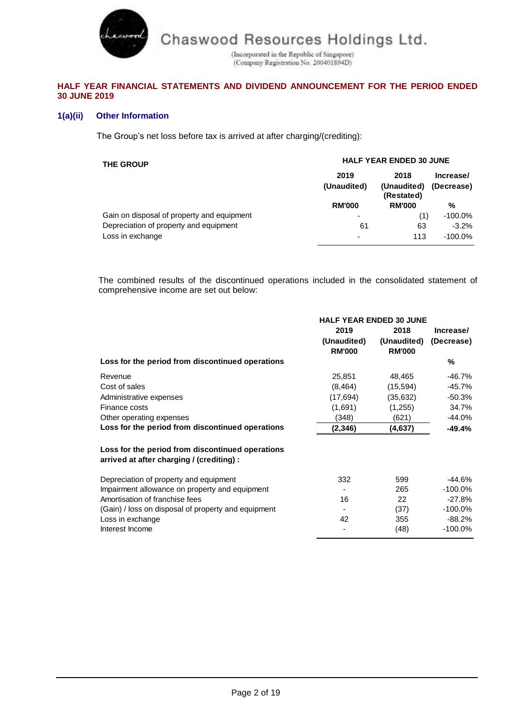(Incorporated in the Republic of Singapore)<br>(Company Registration No. 200401894D)

# **HALF YEAR FINANCIAL STATEMENTS AND DIVIDEND ANNOUNCEMENT FOR THE PERIOD ENDED 30 JUNE 2019**

# **1(a)(ii) Other Information**

charwood

The Group's net loss before tax is arrived at after charging/(crediting):

| <b>THE GROUP</b>                           | <b>HALF YEAR ENDED 30 JUNE</b> |                                   |                         |  |
|--------------------------------------------|--------------------------------|-----------------------------------|-------------------------|--|
|                                            | 2019<br>(Unaudited)            | 2018<br>(Unaudited)<br>(Restated) | Increase/<br>(Decrease) |  |
|                                            | <b>RM'000</b>                  | <b>RM'000</b>                     | %                       |  |
| Gain on disposal of property and equipment | -                              | (1)                               | $-100.0\%$              |  |
| Depreciation of property and equipment     | 61                             | 63                                | $-3.2\%$                |  |
| Loss in exchange                           | ۰                              | 113                               | $-100.0\%$              |  |

The combined results of the discontinued operations included in the consolidated statement of comprehensive income are set out below:

|                                                                                               | <b>HALF YEAR ENDED 30 JUNE</b> |               |            |  |
|-----------------------------------------------------------------------------------------------|--------------------------------|---------------|------------|--|
|                                                                                               | 2019                           | 2018          | Increase/  |  |
|                                                                                               | (Unaudited)                    | (Unaudited)   | (Decrease) |  |
|                                                                                               | <b>RM'000</b>                  | <b>RM'000</b> |            |  |
| Loss for the period from discontinued operations                                              |                                |               | %          |  |
| Revenue                                                                                       | 25,851                         | 48,465        | $-46.7%$   |  |
| Cost of sales                                                                                 | (8, 464)                       | (15, 594)     | $-45.7%$   |  |
| Administrative expenses                                                                       | (17, 694)                      | (35,632)      | $-50.3%$   |  |
| Finance costs                                                                                 | (1,691)                        | (1,255)       | 34.7%      |  |
| Other operating expenses                                                                      | (348)                          | (621)         | $-44.0%$   |  |
| Loss for the period from discontinued operations                                              | (2,346)                        | (4,637)       | -49.4%     |  |
| Loss for the period from discontinued operations<br>arrived at after charging / (crediting) : |                                |               |            |  |
| Depreciation of property and equipment                                                        | 332                            | 599           | -44.6%     |  |
| Impairment allowance on property and equipment                                                |                                | 265           | $-100.0%$  |  |
| Amortisation of franchise fees                                                                | 16                             | 22            | $-27.8%$   |  |
| (Gain) / loss on disposal of property and equipment                                           |                                | (37)          | $-100.0\%$ |  |
| Loss in exchange                                                                              | 42                             | 355           | $-88.2%$   |  |
| Interest Income                                                                               |                                | (48)          | $-100.0\%$ |  |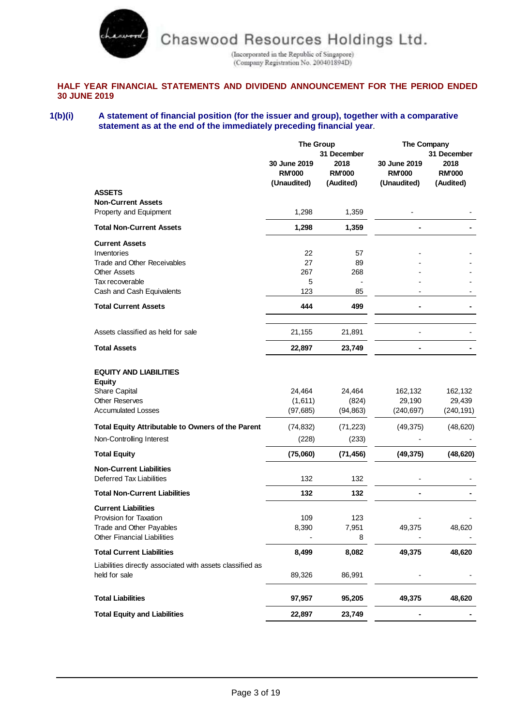

(Incorporated in the Republic of Singapore)<br>(Company Registration No. 200401894D)

# **HALF YEAR FINANCIAL STATEMENTS AND DIVIDEND ANNOUNCEMENT FOR THE PERIOD ENDED 30 JUNE 2019**

## **1(b)(i) A statement of financial position (for the issuer and group), together with a comparative statement as at the end of the immediately preceding financial year**.

|                                                           | <b>The Group</b>                             |                                                   | The Company                                  |                                                   |
|-----------------------------------------------------------|----------------------------------------------|---------------------------------------------------|----------------------------------------------|---------------------------------------------------|
|                                                           | 30 June 2019<br><b>RM'000</b><br>(Unaudited) | 31 December<br>2018<br><b>RM'000</b><br>(Audited) | 30 June 2019<br><b>RM'000</b><br>(Unaudited) | 31 December<br>2018<br><b>RM'000</b><br>(Audited) |
| <b>ASSETS</b>                                             |                                              |                                                   |                                              |                                                   |
| <b>Non-Current Assets</b><br>Property and Equipment       | 1,298                                        | 1,359                                             |                                              |                                                   |
| <b>Total Non-Current Assets</b>                           | 1,298                                        | 1,359                                             |                                              |                                                   |
| <b>Current Assets</b>                                     |                                              |                                                   |                                              |                                                   |
| Inventories                                               | 22                                           | 57                                                |                                              |                                                   |
| Trade and Other Receivables                               | 27                                           | 89                                                |                                              |                                                   |
| <b>Other Assets</b>                                       | 267                                          | 268                                               |                                              |                                                   |
| Tax recoverable                                           | 5                                            |                                                   |                                              |                                                   |
| Cash and Cash Equivalents                                 | 123                                          | 85                                                |                                              |                                                   |
| <b>Total Current Assets</b>                               | 444                                          | 499                                               |                                              |                                                   |
| Assets classified as held for sale                        | 21,155                                       | 21,891                                            |                                              |                                                   |
| <b>Total Assets</b>                                       | 22,897                                       | 23,749                                            |                                              |                                                   |
|                                                           |                                              |                                                   |                                              |                                                   |
| <b>EQUITY AND LIABILITIES</b><br><b>Equity</b>            |                                              |                                                   |                                              |                                                   |
| <b>Share Capital</b>                                      | 24,464                                       | 24,464                                            | 162,132                                      | 162,132                                           |
| <b>Other Reserves</b>                                     | (1,611)                                      | (824)                                             | 29,190                                       | 29,439                                            |
| <b>Accumulated Losses</b>                                 | (97, 685)                                    | (94, 863)                                         | (240, 697)                                   | (240, 191)                                        |
| <b>Total Equity Attributable to Owners of the Parent</b>  | (74, 832)                                    | (71, 223)                                         | (49, 375)                                    | (48, 620)                                         |
| Non-Controlling Interest                                  | (228)                                        | (233)                                             |                                              |                                                   |
| <b>Total Equity</b>                                       | (75,060)                                     | (71, 456)                                         | (49, 375)                                    | (48, 620)                                         |
| <b>Non-Current Liabilities</b>                            |                                              |                                                   |                                              |                                                   |
| <b>Deferred Tax Liabilities</b>                           | 132                                          | 132                                               |                                              |                                                   |
| <b>Total Non-Current Liabilities</b>                      | 132                                          | 132                                               |                                              |                                                   |
| <b>Current Liabilities</b>                                |                                              |                                                   |                                              |                                                   |
| Provision for Taxation                                    | 109                                          | 123                                               |                                              |                                                   |
| Trade and Other Payables                                  | 8,390                                        | 7,951                                             | 49,375                                       | 48,620                                            |
| <b>Other Financial Liabilities</b>                        |                                              | 8                                                 |                                              |                                                   |
| <b>Total Current Liabilities</b>                          | 8,499                                        | 8,082                                             | 49,375                                       | 48,620                                            |
| Liabilities directly associated with assets classified as |                                              |                                                   |                                              |                                                   |
| held for sale                                             | 89,326                                       | 86,991                                            |                                              |                                                   |
| <b>Total Liabilities</b>                                  | 97,957                                       | 95,205                                            | 49,375                                       | 48,620                                            |
| <b>Total Equity and Liabilities</b>                       | 22,897                                       | 23,749                                            |                                              |                                                   |
|                                                           |                                              |                                                   |                                              |                                                   |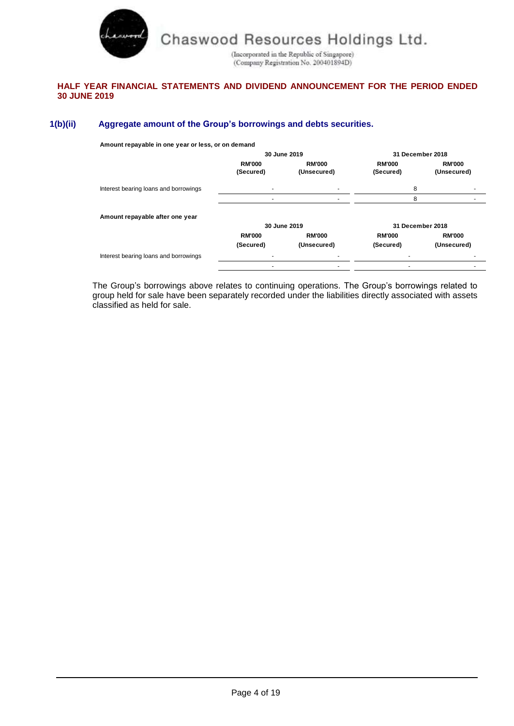

(Incorporated in the Republic of Singapore)<br>(Company Registration No. 200401894D)

# **HALF YEAR FINANCIAL STATEMENTS AND DIVIDEND ANNOUNCEMENT FOR THE PERIOD ENDED 30 JUNE 2019**

# **1(b)(ii) Aggregate amount of the Group's borrowings and debts securities.**

**Amount repayable in one year or less, or on demand**

|                                       |                            | 30 June 2019                 |                            | 31 December 2018             |
|---------------------------------------|----------------------------|------------------------------|----------------------------|------------------------------|
|                                       | <b>RM'000</b><br>(Secured) | <b>RM'000</b><br>(Unsecured) | <b>RM'000</b><br>(Secured) | <b>RM'000</b><br>(Unsecured) |
| Interest bearing loans and borrowings |                            |                              | 8                          |                              |
|                                       |                            |                              | 8                          |                              |
| Amount repayable after one year       |                            |                              |                            |                              |
|                                       |                            | 30 June 2019                 |                            | 31 December 2018             |
|                                       | <b>RM'000</b>              | <b>RM'000</b>                | <b>RM'000</b>              | <b>RM'000</b>                |
|                                       | (Secured)                  | (Unsecured)                  | (Secured)                  | (Unsecured)                  |
| Interest bearing loans and borrowings |                            |                              |                            |                              |
|                                       |                            |                              |                            |                              |

The Group's borrowings above relates to continuing operations. The Group's borrowings related to group held for sale have been separately recorded under the liabilities directly associated with assets classified as held for sale.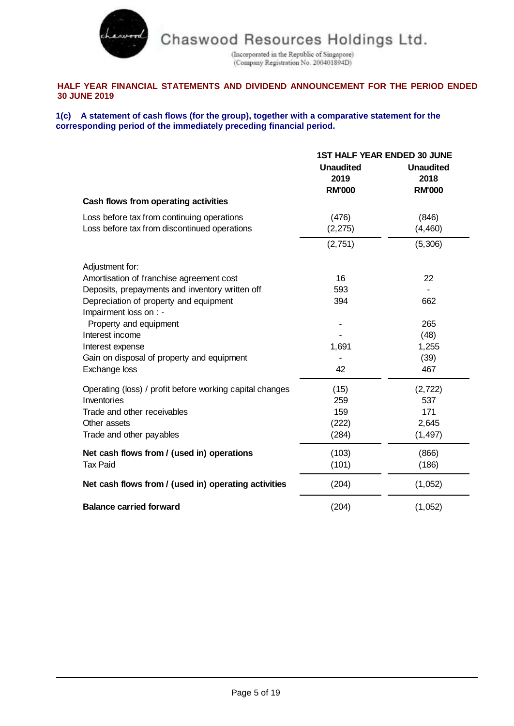

(Incorporated in the Republic of Singapore)<br>(Company Registration No. 200401894D)

# **HALF YEAR FINANCIAL STATEMENTS AND DIVIDEND ANNOUNCEMENT FOR THE PERIOD ENDED 30 JUNE 2019**

## **1(c) A statement of cash flows (for the group), together with a comparative statement for the corresponding period of the immediately preceding financial period.**

|                                                                                            | <b>1ST HALF YEAR ENDED 30 JUNE</b>        |                                           |  |
|--------------------------------------------------------------------------------------------|-------------------------------------------|-------------------------------------------|--|
|                                                                                            | <b>Unaudited</b><br>2019<br><b>RM'000</b> | <b>Unaudited</b><br>2018<br><b>RM'000</b> |  |
| Cash flows from operating activities                                                       |                                           |                                           |  |
| Loss before tax from continuing operations<br>Loss before tax from discontinued operations | (476)<br>(2, 275)                         | (846)<br>(4, 460)                         |  |
|                                                                                            | (2,751)                                   | (5,306)                                   |  |
| Adjustment for:                                                                            |                                           |                                           |  |
| Amortisation of franchise agreement cost                                                   | 16                                        | 22                                        |  |
| Deposits, prepayments and inventory written off                                            | 593                                       |                                           |  |
| Depreciation of property and equipment<br>Impairment loss on : -                           | 394                                       | 662                                       |  |
| Property and equipment                                                                     |                                           | 265                                       |  |
| Interest income                                                                            |                                           | (48)                                      |  |
| Interest expense                                                                           | 1,691                                     | 1,255                                     |  |
| Gain on disposal of property and equipment                                                 |                                           | (39)                                      |  |
| Exchange loss                                                                              | 42                                        | 467                                       |  |
| Operating (loss) / profit before working capital changes                                   | (15)                                      | (2, 722)                                  |  |
| Inventories                                                                                | 259                                       | 537                                       |  |
| Trade and other receivables                                                                | 159                                       | 171                                       |  |
| Other assets                                                                               | (222)                                     | 2,645                                     |  |
| Trade and other payables                                                                   | (284)                                     | (1, 497)                                  |  |
| Net cash flows from / (used in) operations                                                 | (103)                                     | (866)                                     |  |
| <b>Tax Paid</b>                                                                            | (101)                                     | (186)                                     |  |
| Net cash flows from / (used in) operating activities                                       | (204)                                     | (1,052)                                   |  |
| <b>Balance carried forward</b>                                                             | (204)                                     | (1,052)                                   |  |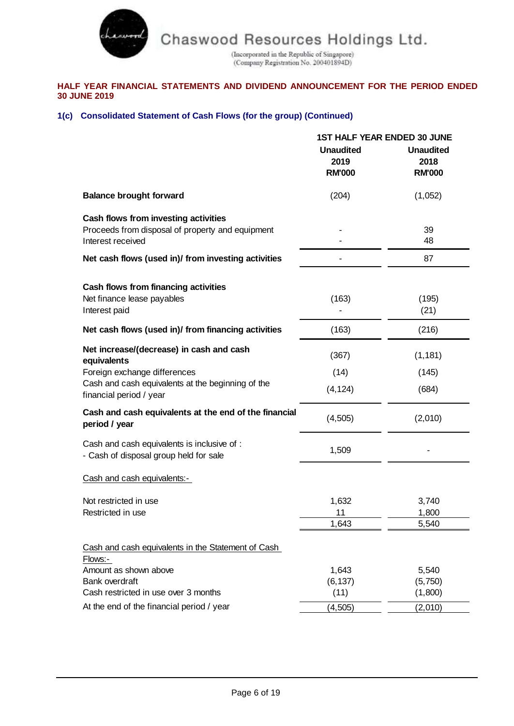

 $\frac{1}{\rm (Incoporated\ in\ the\ Republic\ of\ Singapore)}{1}{\rm (Company\ Registration\ No.\ 200401894D)}$ 

# **HALF YEAR FINANCIAL STATEMENTS AND DIVIDEND ANNOUNCEMENT FOR THE PERIOD ENDED 30 JUNE 2019**

# **1(c) Consolidated Statement of Cash Flows (for the group) (Continued)**

|                                                                                                               | <b>1ST HALF YEAR ENDED 30 JUNE</b>        |                                           |  |
|---------------------------------------------------------------------------------------------------------------|-------------------------------------------|-------------------------------------------|--|
|                                                                                                               | <b>Unaudited</b><br>2019<br><b>RM'000</b> | <b>Unaudited</b><br>2018<br><b>RM'000</b> |  |
| <b>Balance brought forward</b>                                                                                | (204)                                     | (1,052)                                   |  |
| Cash flows from investing activities<br>Proceeds from disposal of property and equipment<br>Interest received |                                           | 39<br>48                                  |  |
| Net cash flows (used in)/ from investing activities                                                           |                                           | 87                                        |  |
| Cash flows from financing activities<br>Net finance lease payables<br>Interest paid                           | (163)                                     | (195)<br>(21)                             |  |
| Net cash flows (used in)/ from financing activities                                                           | (163)                                     | (216)                                     |  |
| Net increase/(decrease) in cash and cash<br>equivalents                                                       | (367)                                     | (1, 181)                                  |  |
| Foreign exchange differences<br>Cash and cash equivalents at the beginning of the<br>financial period / year  | (14)<br>(4, 124)                          | (145)<br>(684)                            |  |
| Cash and cash equivalents at the end of the financial<br>period / year                                        | (4, 505)                                  | (2,010)                                   |  |
| Cash and cash equivalents is inclusive of :<br>- Cash of disposal group held for sale                         | 1,509                                     |                                           |  |
| Cash and cash equivalents:-                                                                                   |                                           |                                           |  |
| Not restricted in use<br>Restricted in use                                                                    | 1,632<br>11<br>1,643                      | 3,740<br>1,800<br>5,540                   |  |
| Cash and cash equivalents in the Statement of Cash<br>Flows:-                                                 |                                           |                                           |  |
| Amount as shown above<br><b>Bank overdraft</b><br>Cash restricted in use over 3 months                        | 1,643<br>(6, 137)<br>(11)                 | 5,540<br>(5,750)<br>(1,800)               |  |
| At the end of the financial period / year                                                                     | (4, 505)                                  | (2,010)                                   |  |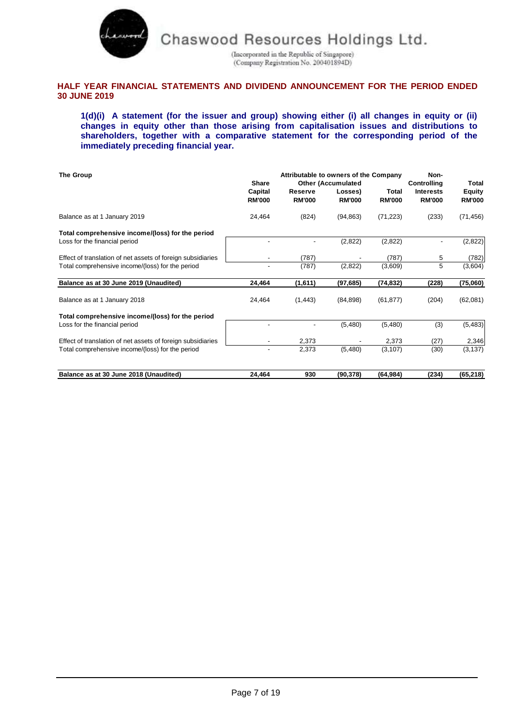

(Incorporated in the Republic of Singapore)<br>(Company Registration No. 200401894D)

# **HALF YEAR FINANCIAL STATEMENTS AND DIVIDEND ANNOUNCEMENT FOR THE PERIOD ENDED 30 JUNE 2019**

**1(d)(i) A statement (for the issuer and group) showing either (i) all changes in equity or (ii) changes in equity other than those arising from capitalisation issues and distributions to shareholders, together with a comparative statement for the corresponding period of the immediately preceding financial year.**

| The Group                                                   | <b>Share</b>             |                          | Attributable to owners of the Company                 |                        | Non-                                                    | Total                          |
|-------------------------------------------------------------|--------------------------|--------------------------|-------------------------------------------------------|------------------------|---------------------------------------------------------|--------------------------------|
|                                                             | Capital<br><b>RM'000</b> | Reserve<br><b>RM'000</b> | <b>Other (Accumulated</b><br>Losses)<br><b>RM'000</b> | Total<br><b>RM'000</b> | <b>Controlling</b><br><b>Interests</b><br><b>RM'000</b> | <b>Equity</b><br><b>RM'000</b> |
| Balance as at 1 January 2019                                | 24,464                   | (824)                    | (94, 863)                                             | (71, 223)              | (233)                                                   | (71, 456)                      |
| Total comprehensive income/(loss) for the period            |                          |                          |                                                       |                        |                                                         |                                |
| Loss for the financial period                               |                          |                          | (2,822)                                               | (2,822)                |                                                         | (2,822)                        |
| Effect of translation of net assets of foreign subsidiaries |                          | (787)                    |                                                       | (787)                  | 5                                                       | (782)                          |
| Total comprehensive income/(loss) for the period            |                          | (787)                    | (2,822)                                               | (3,609)                | 5                                                       | (3,604)                        |
| Balance as at 30 June 2019 (Unaudited)                      | 24,464                   | (1,611)                  | (97, 685)                                             | (74, 832)              | (228)                                                   | (75,060)                       |
| Balance as at 1 January 2018                                | 24,464                   | (1, 443)                 | (84, 898)                                             | (61, 877)              | (204)                                                   | (62,081)                       |
| Total comprehensive income/(loss) for the period            |                          |                          |                                                       |                        |                                                         |                                |
| Loss for the financial period                               |                          |                          | (5,480)                                               | (5,480)                | (3)                                                     | (5, 483)                       |
| Effect of translation of net assets of foreign subsidiaries |                          | 2,373                    |                                                       | 2,373                  | (27)                                                    | 2,346                          |
| Total comprehensive income/(loss) for the period            |                          | 2,373                    | (5,480)                                               | (3, 107)               | (30)                                                    | (3, 137)                       |
| Balance as at 30 June 2018 (Unaudited)                      | 24,464                   | 930                      | (90, 378)                                             | (64, 984)              | (234)                                                   | (65, 218)                      |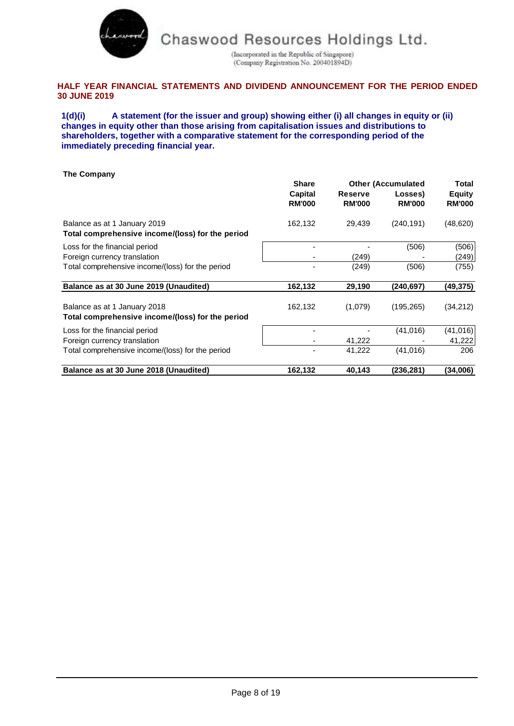

(Incorporated in the Republic of Singapore) (Company Registration No. 200401894D)

# **HALF YEAR FINANCIAL STATEMENTS AND DIVIDEND ANNOUNCEMENT FOR THE PERIOD ENDED 30 JUNE 2019**

**1(d)(i) A statement (for the issuer and group) showing either (i) all changes in equity or (ii) changes in equity other than those arising from capitalisation issues and distributions to shareholders, together with a comparative statement for the corresponding period of the immediately preceding financial year.**

| The Company                                                                      |                          |                                 |                           |                                |
|----------------------------------------------------------------------------------|--------------------------|---------------------------------|---------------------------|--------------------------------|
|                                                                                  | <b>Share</b>             |                                 | <b>Other (Accumulated</b> | Total                          |
|                                                                                  | Capital<br><b>RM'000</b> | <b>Reserve</b><br><b>RM'000</b> | Losses)<br><b>RM'000</b>  | <b>Equity</b><br><b>RM'000</b> |
| Balance as at 1 January 2019<br>Total comprehensive income/(loss) for the period | 162,132                  | 29,439                          | (240, 191)                | (48, 620)                      |
| Loss for the financial period                                                    |                          |                                 | (506)                     | (506)                          |
| Foreign currency translation                                                     |                          | (249)                           |                           | (249)                          |
| Total comprehensive income/(loss) for the period                                 |                          | (249)                           | (506)                     | (755)                          |
| Balance as at 30 June 2019 (Unaudited)                                           | 162,132                  | 29,190                          | (240,697)                 | (49,375)                       |
| Balance as at 1 January 2018<br>Total comprehensive income/(loss) for the period | 162,132                  | (1,079)                         | (195, 265)                | (34, 212)                      |
| Loss for the financial period                                                    |                          |                                 | (41, 016)                 | (41,016)                       |
| Foreign currency translation                                                     |                          | 41,222                          |                           | 41,222                         |
| Total comprehensive income/(loss) for the period                                 |                          | 41,222                          | (41, 016)                 | 206                            |
| Balance as at 30 June 2018 (Unaudited)                                           | 162,132                  | 40,143                          | (236, 281)                | (34,006)                       |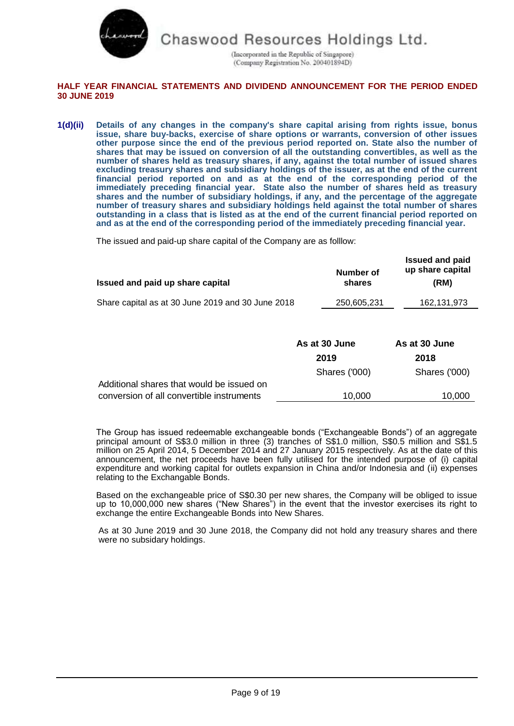

(Incorporated in the Republic of Singapore) (Company Registration No. 200401894D)

# **HALF YEAR FINANCIAL STATEMENTS AND DIVIDEND ANNOUNCEMENT FOR THE PERIOD ENDED 30 JUNE 2019**

**1(d)(ii) Details of any changes in the company's share capital arising from rights issue, bonus issue, share buy-backs, exercise of share options or warrants, conversion of other issues other purpose since the end of the previous period reported on. State also the number of shares that may be issued on conversion of all the outstanding convertibles, as well as the number of shares held as treasury shares, if any, against the total number of issued shares excluding treasury shares and subsidiary holdings of the issuer, as at the end of the current financial period reported on and as at the end of the corresponding period of the immediately preceding financial year. State also the number of shares held as treasury shares and the number of subsidiary holdings, if any, and the percentage of the aggregate number of treasury shares and subsidiary holdings held against the total number of shares outstanding in a class that is listed as at the end of the current financial period reported on and as at the end of the corresponding period of the immediately preceding financial year.**

The issued and paid-up share capital of the Company are as folllow:

| Issued and paid up share capital                  | Number of<br>shares   | <b>Issued and paid</b><br>up share capital<br>(RM) |
|---------------------------------------------------|-----------------------|----------------------------------------------------|
| Share capital as at 30 June 2019 and 30 June 2018 | 250,605,231           | 162, 131, 973                                      |
|                                                   | As at 30 June<br>2019 | As at 30 June<br>2018                              |

|                                           | Shares ('000) | Shares ('000) |
|-------------------------------------------|---------------|---------------|
| Additional shares that would be issued on |               |               |
| conversion of all convertible instruments | 10.000        | 10.000        |

The Group has issued redeemable exchangeable bonds ("Exchangeable Bonds") of an aggregate principal amount of S\$3.0 million in three (3) tranches of S\$1.0 million, S\$0.5 million and S\$1.5 million on 25 April 2014, 5 December 2014 and 27 January 2015 respectively. As at the date of this announcement, the net proceeds have been fully utilised for the intended purpose of (i) capital expenditure and working capital for outlets expansion in China and/or Indonesia and (ii) expenses relating to the Exchangable Bonds.

Based on the exchangeable price of S\$0.30 per new shares, the Company will be obliged to issue up to 10,000,000 new shares ("New Shares") in the event that the investor exercises its right to exchange the entire Exchangeable Bonds into New Shares.

As at 30 June 2019 and 30 June 2018, the Company did not hold any treasury shares and there were no subsidary holdings.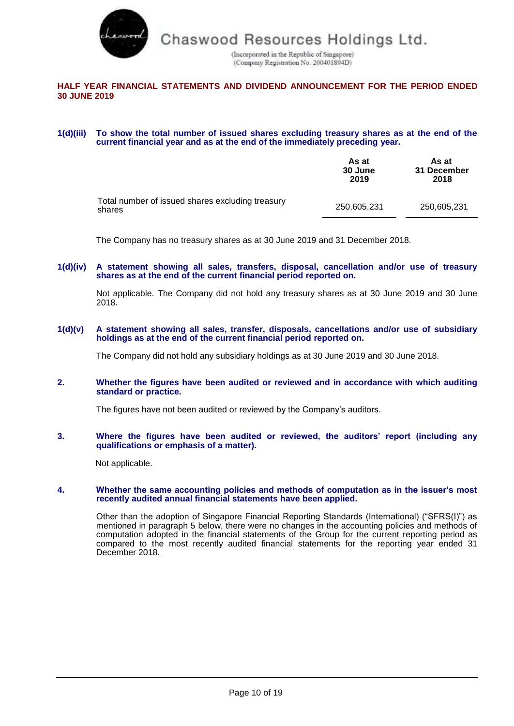

(Incorporated in the Republic of Singapore) (Company Registration No. 200401894D)

# **HALF YEAR FINANCIAL STATEMENTS AND DIVIDEND ANNOUNCEMENT FOR THE PERIOD ENDED 30 JUNE 2019**

#### **1(d)(iii) To show the total number of issued shares excluding treasury shares as at the end of the current financial year and as at the end of the immediately preceding year.**

|                                                            | As at<br>30 June<br>2019 | As at<br>31 December<br>2018 |
|------------------------------------------------------------|--------------------------|------------------------------|
| Total number of issued shares excluding treasury<br>shares | 250,605,231              | 250.605.231                  |

The Company has no treasury shares as at 30 June 2019 and 31 December 2018.

**1(d)(iv) A statement showing all sales, transfers, disposal, cancellation and/or use of treasury shares as at the end of the current financial period reported on.**

Not applicable. The Company did not hold any treasury shares as at 30 June 2019 and 30 June 2018.

**1(d)(v) A statement showing all sales, transfer, disposals, cancellations and/or use of subsidiary holdings as at the end of the current financial period reported on.**

The Company did not hold any subsidiary holdings as at 30 June 2019 and 30 June 2018.

#### **2. Whether the figures have been audited or reviewed and in accordance with which auditing standard or practice.**

The figures have not been audited or reviewed by the Company's auditors.

**3. Where the figures have been audited or reviewed, the auditors' report (including any qualifications or emphasis of a matter).**

Not applicable.

#### **4. Whether the same accounting policies and methods of computation as in the issuer's most recently audited annual financial statements have been applied.**

Other than the adoption of Singapore Financial Reporting Standards (International) ("SFRS(I)") as mentioned in paragraph 5 below, there were no changes in the accounting policies and methods of computation adopted in the financial statements of the Group for the current reporting period as compared to the most recently audited financial statements for the reporting year ended 31 December 2018.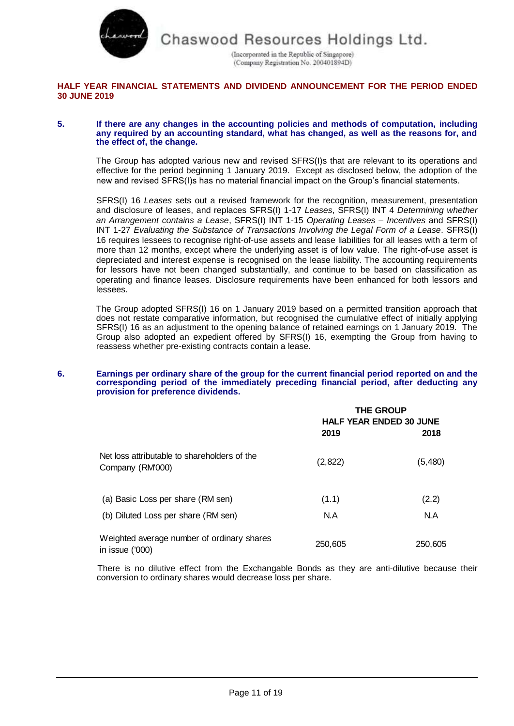

(Incorporated in the Republic of Singapore) (Company Registration No. 200401894D)

# **HALF YEAR FINANCIAL STATEMENTS AND DIVIDEND ANNOUNCEMENT FOR THE PERIOD ENDED 30 JUNE 2019**

#### **5. If there are any changes in the accounting policies and methods of computation, including any required by an accounting standard, what has changed, as well as the reasons for, and the effect of, the change.**

The Group has adopted various new and revised SFRS(I)s that are relevant to its operations and effective for the period beginning 1 January 2019. Except as disclosed below, the adoption of the new and revised SFRS(I)s has no material financial impact on the Group's financial statements.

SFRS(I) 16 *Leases* sets out a revised framework for the recognition, measurement, presentation and disclosure of leases, and replaces SFRS(I) 1-17 *Leases*, SFRS(I) INT 4 *Determining whether an Arrangement contains a Lease*, SFRS(I) INT 1-15 *Operating Leases – Incentives* and SFRS(I) INT 1-27 *Evaluating the Substance of Transactions Involving the Legal Form of a Lease*. SFRS(I) 16 requires lessees to recognise right-of-use assets and lease liabilities for all leases with a term of more than 12 months, except where the underlying asset is of low value. The right-of-use asset is depreciated and interest expense is recognised on the lease liability. The accounting requirements for lessors have not been changed substantially, and continue to be based on classification as operating and finance leases. Disclosure requirements have been enhanced for both lessors and lessees.

The Group adopted SFRS(I) 16 on 1 January 2019 based on a permitted transition approach that does not restate comparative information, but recognised the cumulative effect of initially applying SFRS(I) 16 as an adjustment to the opening balance of retained earnings on 1 January 2019. The Group also adopted an expedient offered by SFRS(I) 16, exempting the Group from having to reassess whether pre-existing contracts contain a lease.

#### **6. Earnings per ordinary share of the group for the current financial period reported on and the corresponding period of the immediately preceding financial period, after deducting any provision for preference dividends.**

|                                                                  | <b>THE GROUP</b><br><b>HALF YEAR ENDED 30 JUNE</b> |         |
|------------------------------------------------------------------|----------------------------------------------------|---------|
|                                                                  | 2019                                               | 2018    |
| Net loss attributable to shareholders of the<br>Company (RM'000) | (2,822)                                            | (5,480) |
| (a) Basic Loss per share (RM sen)                                | (1.1)                                              | (2.2)   |
| (b) Diluted Loss per share (RM sen)                              | N.A                                                | N.A     |
| Weighted average number of ordinary shares<br>in issue ('000)    | 250,605                                            | 250,605 |

There is no dilutive effect from the Exchangable Bonds as they are anti-dilutive because their conversion to ordinary shares would decrease loss per share.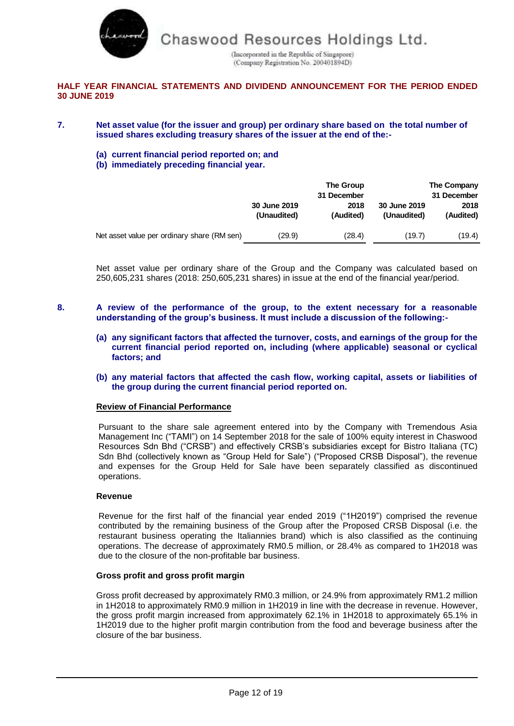

(Incorporated in the Republic of Singapore) (Company Registration No. 200401894D)

# **HALF YEAR FINANCIAL STATEMENTS AND DIVIDEND ANNOUNCEMENT FOR THE PERIOD ENDED 30 JUNE 2019**

- **7. Net asset value (for the issuer and group) per ordinary share based on the total number of issued shares excluding treasury shares of the issuer at the end of the:-**
	- **(a) current financial period reported on; and**
	- **(b) immediately preceding financial year.**

|                                             | 30 June 2019<br>(Unaudited) | The Group<br>31 December<br>2018<br>(Audited) | 30 June 2019<br>(Unaudited) | The Company<br>31 December<br>2018<br>(Audited) |
|---------------------------------------------|-----------------------------|-----------------------------------------------|-----------------------------|-------------------------------------------------|
|                                             |                             |                                               |                             |                                                 |
| Net asset value per ordinary share (RM sen) | (29.9)                      | (28.4)                                        | (19.7)                      | (19.4)                                          |

Net asset value per ordinary share of the Group and the Company was calculated based on 250,605,231 shares (2018: 250,605,231 shares) in issue at the end of the financial year/period.

- **8. A review of the performance of the group, to the extent necessary for a reasonable understanding of the group's business. It must include a discussion of the following:-**
	- **(a) any significant factors that affected the turnover, costs, and earnings of the group for the current financial period reported on, including (where applicable) seasonal or cyclical factors; and**
	- **(b) any material factors that affected the cash flow, working capital, assets or liabilities of the group during the current financial period reported on.**

### **Review of Financial Performance**

Pursuant to the share sale agreement entered into by the Company with Tremendous Asia Management Inc ("TAMI") on 14 September 2018 for the sale of 100% equity interest in Chaswood Resources Sdn Bhd ("CRSB") and effectively CRSB's subsidiaries except for Bistro Italiana (TC) Sdn Bhd (collectively known as "Group Held for Sale") ("Proposed CRSB Disposal"), the revenue and expenses for the Group Held for Sale have been separately classified as discontinued operations.

### **Revenue**

Revenue for the first half of the financial year ended 2019 ("1H2019") comprised the revenue contributed by the remaining business of the Group after the Proposed CRSB Disposal (i.e. the restaurant business operating the Italiannies brand) which is also classified as the continuing operations. The decrease of approximately RM0.5 million, or 28.4% as compared to 1H2018 was due to the closure of the non-profitable bar business.

### **Gross profit and gross profit margin**

Gross profit decreased by approximately RM0.3 million, or 24.9% from approximately RM1.2 million in 1H2018 to approximately RM0.9 million in 1H2019 in line with the decrease in revenue. However, the gross profit margin increased from approximately 62.1% in 1H2018 to approximately 65.1% in 1H2019 due to the higher profit margin contribution from the food and beverage business after the closure of the bar business.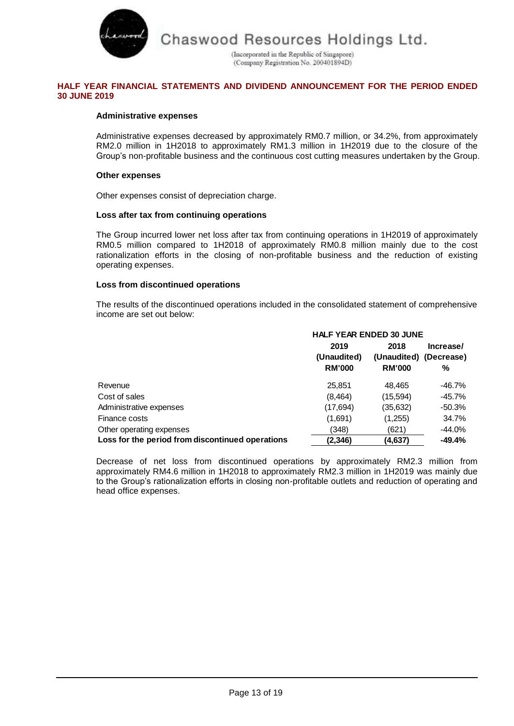

(Incorporated in the Republic of Singapore) (Company Registration No. 200401894D)

# **HALF YEAR FINANCIAL STATEMENTS AND DIVIDEND ANNOUNCEMENT FOR THE PERIOD ENDED 30 JUNE 2019**

# **Administrative expenses**

Administrative expenses decreased by approximately RM0.7 million, or 34.2%, from approximately RM2.0 million in 1H2018 to approximately RM1.3 million in 1H2019 due to the closure of the Group's non-profitable business and the continuous cost cutting measures undertaken by the Group.

### **Other expenses**

Other expenses consist of depreciation charge.

### **Loss after tax from continuing operations**

The Group incurred lower net loss after tax from continuing operations in 1H2019 of approximately RM0.5 million compared to 1H2018 of approximately RM0.8 million mainly due to the cost rationalization efforts in the closing of non-profitable business and the reduction of existing operating expenses.

### **Loss from discontinued operations**

The results of the discontinued operations included in the consolidated statement of comprehensive income are set out below:

|                                                  | <b>HALF YEAR ENDED 30 JUNE</b> |                        |           |
|--------------------------------------------------|--------------------------------|------------------------|-----------|
|                                                  | 2019                           | 2018                   | Increase/ |
|                                                  | (Unaudited)                    | (Unaudited) (Decrease) |           |
|                                                  | <b>RM'000</b>                  | <b>RM'000</b>          | %         |
| Revenue                                          | 25,851                         | 48.465                 | -46.7%    |
| Cost of sales                                    | (8, 464)                       | (15,594)               | -45.7%    |
| Administrative expenses                          | (17,694)                       | (35,632)               | $-50.3\%$ |
| Finance costs                                    | (1,691)                        | (1,255)                | 34.7%     |
| Other operating expenses                         | (348)                          | (621)                  | -44.0%    |
| Loss for the period from discontinued operations | (2, 346)                       | (4,637)                | -49.4%    |

Decrease of net loss from discontinued operations by approximately RM2.3 million from approximately RM4.6 million in 1H2018 to approximately RM2.3 million in 1H2019 was mainly due to the Group's rationalization efforts in closing non-profitable outlets and reduction of operating and head office expenses.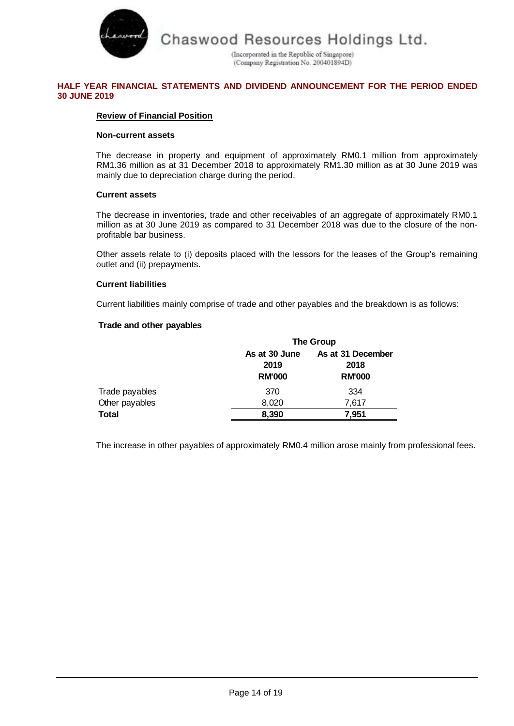

(Incorporated in the Republic of Singapore) (Company Registration No. 200401894D)

# **HALF YEAR FINANCIAL STATEMENTS AND DIVIDEND ANNOUNCEMENT FOR THE PERIOD ENDED 30 JUNE 2019**

# **Review of Financial Position**

### **Non-current assets**

The decrease in property and equipment of approximately RM0.1 million from approximately RM1.36 million as at 31 December 2018 to approximately RM1.30 million as at 30 June 2019 was mainly due to depreciation charge during the period.

# **Current assets**

The decrease in inventories, trade and other receivables of an aggregate of approximately RM0.1 million as at 30 June 2019 as compared to 31 December 2018 was due to the closure of the nonprofitable bar business.

Other assets relate to (i) deposits placed with the lessors for the leases of the Group's remaining outlet and (ii) prepayments.

# **Current liabilities**

Current liabilities mainly comprise of trade and other payables and the breakdown is as follows:

# **Trade and other payables**

|                |                                        | <b>The Group</b>                           |  |
|----------------|----------------------------------------|--------------------------------------------|--|
|                | As at 30 June<br>2019<br><b>RM'000</b> | As at 31 December<br>2018<br><b>RM'000</b> |  |
| Trade payables | 370                                    | 334                                        |  |
| Other payables | 8,020                                  | 7,617                                      |  |
| <b>Total</b>   | 8,390                                  | 7,951                                      |  |

The increase in other payables of approximately RM0.4 million arose mainly from professional fees.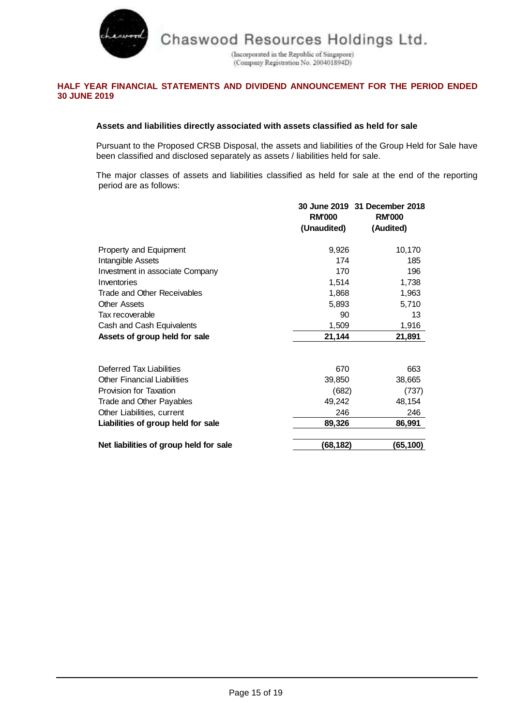

(Incorporated in the Republic of Singapore) (Company Registration No. 200401894D)

# **HALF YEAR FINANCIAL STATEMENTS AND DIVIDEND ANNOUNCEMENT FOR THE PERIOD ENDED 30 JUNE 2019**

# **Assets and liabilities directly associated with assets classified as held for sale**

Pursuant to the Proposed CRSB Disposal, the assets and liabilities of the Group Held for Sale have been classified and disclosed separately as assets / liabilities held for sale.

The major classes of assets and liabilities classified as held for sale at the end of the reporting period are as follows:

|                                        | <b>RM'000</b><br>(Unaudited) | 30 June 2019 31 December 2018<br><b>RM'000</b><br>(Audited) |
|----------------------------------------|------------------------------|-------------------------------------------------------------|
| Property and Equipment                 | 9,926                        | 10,170                                                      |
| Intangible Assets                      | 174                          | 185                                                         |
| Investment in associate Company        | 170                          | 196                                                         |
| Inventories                            | 1,514                        | 1,738                                                       |
| Trade and Other Receivables            | 1,868                        | 1,963                                                       |
| <b>Other Assets</b>                    | 5,893                        | 5,710                                                       |
| Tax recoverable                        | 90                           | 13                                                          |
| Cash and Cash Equivalents              | 1,509                        | 1,916                                                       |
| Assets of group held for sale          | 21,144                       | 21,891                                                      |
| Deferred Tax Liabilities               | 670                          | 663                                                         |
| <b>Other Financial Liabilities</b>     | 39,850                       | 38,665                                                      |
| <b>Provision for Taxation</b>          | (682)                        | (737)                                                       |
| Trade and Other Payables               | 49,242                       | 48,154                                                      |
| Other Liabilities, current             | 246                          | 246                                                         |
| Liabilities of group held for sale     | 89,326                       | 86,991                                                      |
| Net liabilities of group held for sale | (68,182)                     | (65,100)                                                    |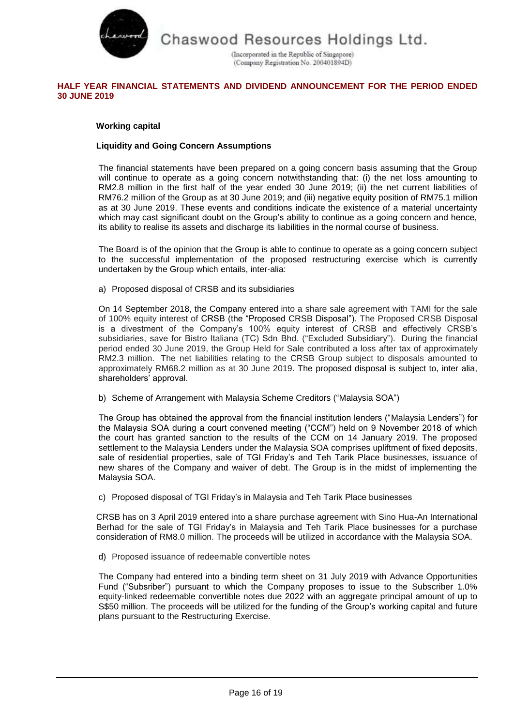

(Incorporated in the Republic of Singapore) (Company Registration No. 200401894D)

# **HALF YEAR FINANCIAL STATEMENTS AND DIVIDEND ANNOUNCEMENT FOR THE PERIOD ENDED 30 JUNE 2019**

# **Working capital**

# **Liquidity and Going Concern Assumptions**

The financial statements have been prepared on a going concern basis assuming that the Group will continue to operate as a going concern notwithstanding that: (i) the net loss amounting to RM2.8 million in the first half of the year ended 30 June 2019; (ii) the net current liabilities of RM76.2 million of the Group as at 30 June 2019; and (iii) negative equity position of RM75.1 million as at 30 June 2019. These events and conditions indicate the existence of a material uncertainty which may cast significant doubt on the Group's ability to continue as a going concern and hence, its ability to realise its assets and discharge its liabilities in the normal course of business.

The Board is of the opinion that the Group is able to continue to operate as a going concern subject to the successful implementation of the proposed restructuring exercise which is currently undertaken by the Group which entails, inter-alia:

a) Proposed disposal of CRSB and its subsidiaries

On 14 September 2018, the Company entered into a share sale agreement with TAMI for the sale of 100% equity interest of CRSB (the "Proposed CRSB Disposal"). The Proposed CRSB Disposal is a divestment of the Company's 100% equity interest of CRSB and effectively CRSB's subsidiaries, save for Bistro Italiana (TC) Sdn Bhd. ("Excluded Subsidiary"). During the financial period ended 30 June 2019, the Group Held for Sale contributed a loss after tax of approximately RM2.3 million. The net liabilities relating to the CRSB Group subject to disposals amounted to approximately RM68.2 million as at 30 June 2019. The proposed disposal is subject to, inter alia, shareholders' approval.

b) Scheme of Arrangement with Malaysia Scheme Creditors ("Malaysia SOA")

The Group has obtained the approval from the financial institution lenders ("Malaysia Lenders") for the Malaysia SOA during a court convened meeting ("CCM") held on 9 November 2018 of which the court has granted sanction to the results of the CCM on 14 January 2019. The proposed settlement to the Malaysia Lenders under the Malaysia SOA comprises upliftment of fixed deposits, sale of residential properties, sale of TGI Friday's and Teh Tarik Place businesses, issuance of new shares of the Company and waiver of debt. The Group is in the midst of implementing the Malaysia SOA.

c) Proposed disposal of TGI Friday's in Malaysia and Teh Tarik Place businesses

CRSB has on 3 April 2019 entered into a share purchase agreement with Sino Hua-An International Berhad for the sale of TGI Friday's in Malaysia and Teh Tarik Place businesses for a purchase consideration of RM8.0 million. The proceeds will be utilized in accordance with the Malaysia SOA.

d) Proposed issuance of redeemable convertible notes

The Company had entered into a binding term sheet on 31 July 2019 with Advance Opportunities Fund ("Subsriber") pursuant to which the Company proposes to issue to the Subscriber 1.0% equity-linked redeemable convertible notes due 2022 with an aggregate principal amount of up to S\$50 million. The proceeds will be utilized for the funding of the Group's working capital and future plans pursuant to the Restructuring Exercise.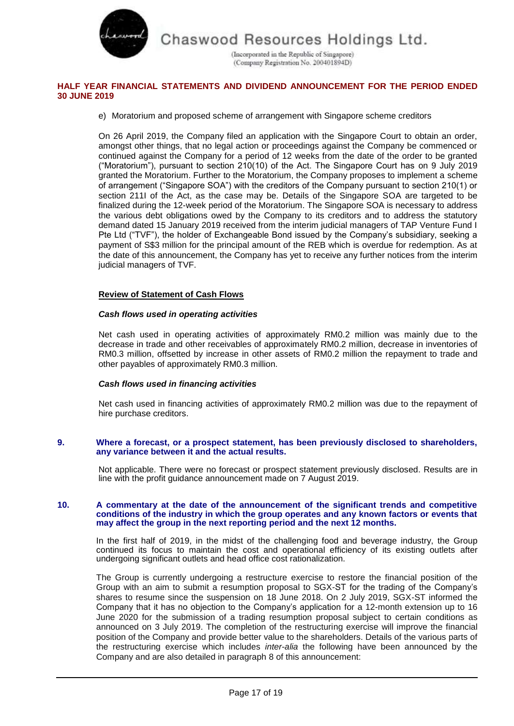

(Incorporated in the Republic of Singapore) (Company Registration No. 200401894D)

## **HALF YEAR FINANCIAL STATEMENTS AND DIVIDEND ANNOUNCEMENT FOR THE PERIOD ENDED 30 JUNE 2019**

### e) Moratorium and proposed scheme of arrangement with Singapore scheme creditors

On 26 April 2019, the Company filed an application with the Singapore Court to obtain an order, amongst other things, that no legal action or proceedings against the Company be commenced or continued against the Company for a period of 12 weeks from the date of the order to be granted ("Moratorium"), pursuant to section 210(10) of the Act. The Singapore Court has on 9 July 2019 granted the Moratorium. Further to the Moratorium, the Company proposes to implement a scheme of arrangement ("Singapore SOA") with the creditors of the Company pursuant to section 210(1) or section 211I of the Act, as the case may be. Details of the Singapore SOA are targeted to be finalized during the 12-week period of the Moratorium. The Singapore SOA is necessary to address the various debt obligations owed by the Company to its creditors and to address the statutory demand dated 15 January 2019 received from the interim judicial managers of TAP Venture Fund I Pte Ltd ("TVF"), the holder of Exchangeable Bond issued by the Company's subsidiary, seeking a payment of S\$3 million for the principal amount of the REB which is overdue for redemption. As at the date of this announcement, the Company has yet to receive any further notices from the interim judicial managers of TVF.

# **Review of Statement of Cash Flows**

### *Cash flows used in operating activities*

Net cash used in operating activities of approximately RM0.2 million was mainly due to the decrease in trade and other receivables of approximately RM0.2 million, decrease in inventories of RM0.3 million, offsetted by increase in other assets of RM0.2 million the repayment to trade and other payables of approximately RM0.3 million.

### *Cash flows used in financing activities*

Net cash used in financing activities of approximately RM0.2 million was due to the repayment of hire purchase creditors.

#### **9. Where a forecast, or a prospect statement, has been previously disclosed to shareholders, any variance between it and the actual results.**

Not applicable. There were no forecast or prospect statement previously disclosed. Results are in line with the profit guidance announcement made on 7 August 2019.

#### **10. A commentary at the date of the announcement of the significant trends and competitive conditions of the industry in which the group operates and any known factors or events that may affect the group in the next reporting period and the next 12 months.**

In the first half of 2019, in the midst of the challenging food and beverage industry, the Group continued its focus to maintain the cost and operational efficiency of its existing outlets after undergoing significant outlets and head office cost rationalization.

The Group is currently undergoing a restructure exercise to restore the financial position of the Group with an aim to submit a resumption proposal to SGX-ST for the trading of the Company's shares to resume since the suspension on 18 June 2018. On 2 July 2019, SGX-ST informed the Company that it has no objection to the Company's application for a 12-month extension up to 16 June 2020 for the submission of a trading resumption proposal subject to certain conditions as announced on 3 July 2019. The completion of the restructuring exercise will improve the financial position of the Company and provide better value to the shareholders. Details of the various parts of the restructuring exercise which includes *inter-alia* the following have been announced by the Company and are also detailed in paragraph 8 of this announcement: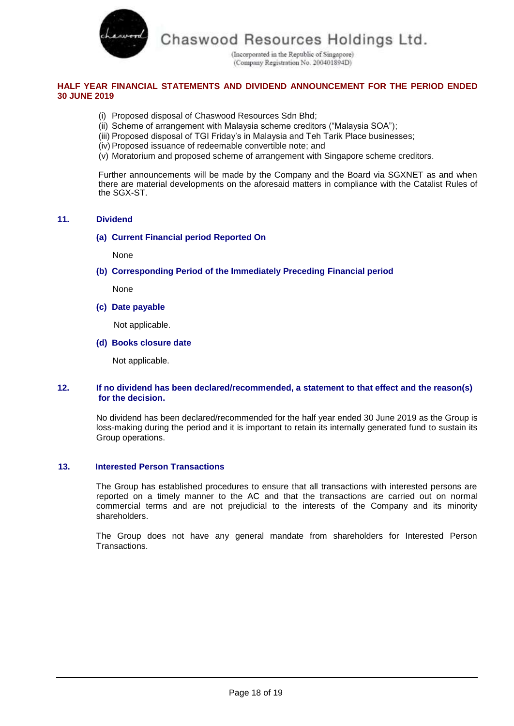

(Incorporated in the Republic of Singapore) (Company Registration No. 200401894D)

# **HALF YEAR FINANCIAL STATEMENTS AND DIVIDEND ANNOUNCEMENT FOR THE PERIOD ENDED 30 JUNE 2019**

- (i) Proposed disposal of Chaswood Resources Sdn Bhd;
- (ii) Scheme of arrangement with Malaysia scheme creditors ("Malaysia SOA");
- (iii) Proposed disposal of TGI Friday's in Malaysia and Teh Tarik Place businesses;
- (iv)Proposed issuance of redeemable convertible note; and
- (v) Moratorium and proposed scheme of arrangement with Singapore scheme creditors.

Further announcements will be made by the Company and the Board via SGXNET as and when there are material developments on the aforesaid matters in compliance with the Catalist Rules of the SGX-ST.

# **11. Dividend**

# **(a) Current Financial period Reported On**

None

**(b) Corresponding Period of the Immediately Preceding Financial period**

None

**(c) Date payable**

Not applicable.

### **(d) Books closure date**

Not applicable.

# **12. If no dividend has been declared/recommended, a statement to that effect and the reason(s) for the decision.**

No dividend has been declared/recommended for the half year ended 30 June 2019 as the Group is loss-making during the period and it is important to retain its internally generated fund to sustain its Group operations.

### **13. Interested Person Transactions**

The Group has established procedures to ensure that all transactions with interested persons are reported on a timely manner to the AC and that the transactions are carried out on normal commercial terms and are not prejudicial to the interests of the Company and its minority shareholders.

The Group does not have any general mandate from shareholders for Interested Person Transactions.